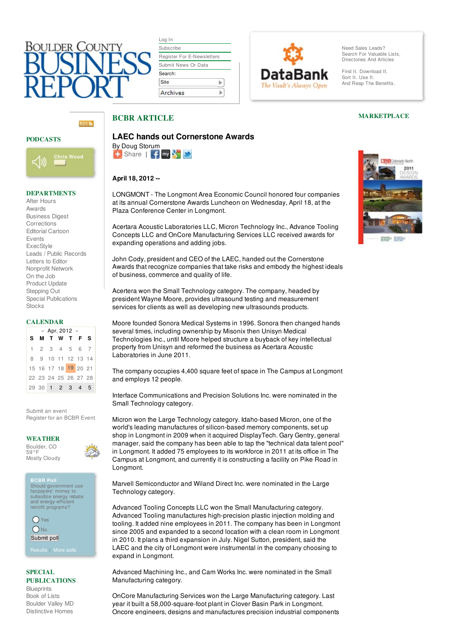# ∩I II DFR

| Log In                            |  |  |  |
|-----------------------------------|--|--|--|
| Subscribe                         |  |  |  |
| <b>Register For E-Newsletters</b> |  |  |  |
| Submit News Or Data               |  |  |  |
|                                   |  |  |  |
| Search:                           |  |  |  |
| Site                              |  |  |  |



Need Sales Leads? Search For Valuable Lists. [Directories](http://www.bcbr.com/lists.asp) And Articles

Find It. Download It. Sort It. Use It. And Reap The Benefits.

#### PODCASTS



#### DEPARTMENTS

After [Hours](http://www.bcbr.com/afterhours.asp) [Awards](http://www.bcbr.com/dept.asp?name=awards) [Business](http://www.bcbr.com/dept.asp?name=Business Digest) Digest [Corrections](http://www.bcbr.com/dept.asp?name=Corrections) [Editorial](http://www.bcbr.com/cartoon.asp) Cartoon [Events](http://www.bcbr.com/bcbr_events.asp) [ExecStyle](http://www.bcbr.com/dept.asp?name=execstyle) Leads / Public [Records](http://bcbr.datajoe.com/app/ecom/pub_publicrecords.php?id=3) [Letters](http://www.bcbr.com/dept.asp?name=Letters) to Editor [Nonprofit](http://www.bcbr.com/dept.asp?name=Nonprofit Network) Network On the [Job](http://www.bcbr.com/dept.asp?name=on the job) [Product](http://www.bcbr.com/dept.asp?name=Product Update) Update [Stepping](http://www.bcbr.com/dept.asp?name=Stepping Out) Out Special [Publications](http://www.bcbr.com/section.asp?secID=19) [Stocks](http://www.bcbr.com/stocks.asp)

#### CALENDAR

| $\ll$ Apr. 2012 $\gg$ |                      |  |  |  |  |  |
|-----------------------|----------------------|--|--|--|--|--|
|                       | <b>SMTWTFS</b>       |  |  |  |  |  |
|                       | 1234567              |  |  |  |  |  |
|                       | 8 9 10 11 12 13 14   |  |  |  |  |  |
|                       | 15 16 17 18 19 20 21 |  |  |  |  |  |
|                       | 22 23 24 25 26 27 28 |  |  |  |  |  |
|                       | 29 30 1 2 3 4 5      |  |  |  |  |  |

[Submit](http://www.bcbr.com/event_submit.asp) an event [Register](http://www.bcbr.com/bcbr_events.asp) for an BCBR Event

#### WEATHER

[Boulder,](http://www.rssweather.com/hw3.php?pands=80301&config=&forecast=zandh&submit=GO) CO 59°F Mostly Cloudy

**BCBR Poll** Should government use taxpayers' money to subsidize energy rebate and energy-efficient retrofit programs?

**O**Yes  $O$ <sub>No</sub> Submit poll

[Results](http://www.bcbr.com/poll.asp?showresults=yes¤t=yes&id=126) | [More](http://www.bcbr.com/poll.asp?archive=yes) polls

#### SPECIAL PUBLICATIONS

**[Blueprints](http://www.bcbr.com/section.asp?secID=5)** [Book](http://www.bcbr.com/section.asp?secID=7) of Lists [Boulder](http://www.bcbr.com/section.asp?secID=21) Valley MD [Distinctive](http://www.bcbr.com/section.asp?secID=23) Homes

| <b>LAEC hands out Cornerstone Awards</b> |
|------------------------------------------|
| By Doug Storum                           |

 $\pm$  [Share](http://www.addthis.com/bookmark.php?v=250&username=bcbr)  $\pm$   $\pm$  my  $\frac{2}{3}$   $\rightarrow$ 

#### **April 18, 2012 --**

BCBR ARTICLE

LONGMONT - The Longmont Area Economic Council honored four companies at its annual Cornerstone Awards Luncheon on Wednesday, April 18, at the Plaza Conference Center in Longmont.

Acertara Acoustic Laboratories LLC, Micron Technology Inc., Advance Tooling Concepts LLC and OnCore Manufacturing Services LLC received awards for expanding operations and adding jobs.

John Cody, president and CEO of the LAEC, handed out the Cornerstone Awards that recognize companies that take risks and embody the highest ideals of business, commerce and quality of life.

Acertera won the Small Technology category. The company, headed by president Wayne Moore, provides ultrasound testing and measurement services for clients as well as developing new ultrasounds products.

Moore founded Sonora Medical Systems in 1996. Sonora then changed hands several times, including ownership by Misonix then Unisyn Medical Technologies Inc., until Moore helped structure a buyback of key intellectual property from Unisyn and reformed the business as Acertara Acoustic Laboratories in June 2011.

The company occupies 4,400 square feet of space in The Campus at Longmont and employs 12 people.

Interface Communications and Precision Solutions Inc. were nominated in the Small Technology category.

Micron won the Large Technology category. Idaho-based Micron, one of the world's leading manufactures of silicon-based memory components, set up shop in Longmont in 2009 when it acquired DisplayTech. Gary Gentry, general manager, said the company has been able to tap the "technical data talent pool" in Longmont. It added 75 employees to its workforce in 2011 at its office in The Campus at Longmont, and currently it is constructing a facility on Pike Road in Longmont.

Marvell Semiconductor and Wiland Direct Inc. were nominated in the Large Technology category.

Advanced Tooling Concepts LLC won the Small Manufacturing category. Advanced Tooling manufactures high-precision plastic injection molding and tooling. It added nine employees in 2011. The company has been in Longmont since 2005 and expanded to a second location with a clean room in Longmont in 2010. It plans a third expansion in July. Nigel Sutton, president, said the LAEC and the city of Longmont were instrumental in the company choosing to expand in Longmont.

Advanced Machining Inc., and Cam Works Inc. were nominated in the Small Manufacturing category.

OnCore Manufacturing Services won the Large Manufacturing category. Last year it built a 58,000-square-foot plant in Clover Basin Park in Longmont. Oncore engineers, designs and manufactures precision industrial components

## **EXMEN** Colorado North 2011 1330 1350

MARKETPLACE